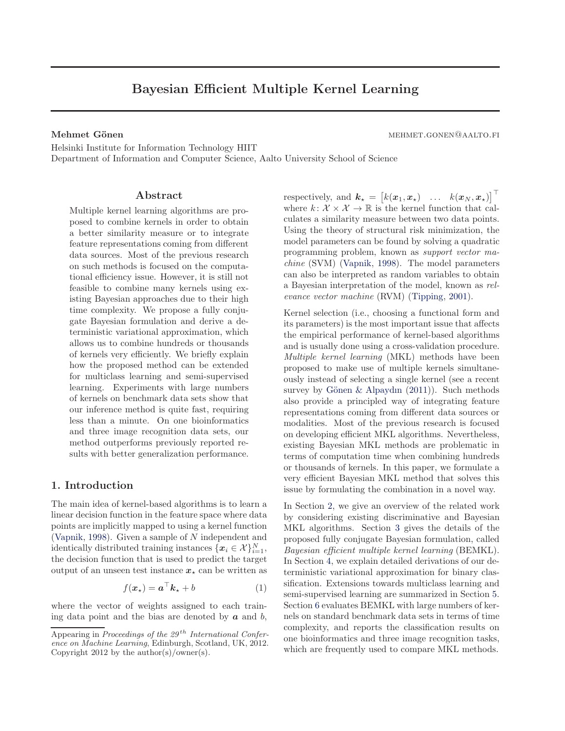# Bayesian Efficient Multiple Kernel Learning

<span id="page-0-0"></span>Mehmet Gönen mehmet ein mehmet.gonen mehmet.gonen mehmet.gonen mehmet.gonen mehmet.gonen mehmet.gonen mehmet.gonen mehmet.gonen mehmet.gonen mehmet.gonen mehmet.gonen mehmet.gonen mehmet.gonen mehmet.gonen mehmet.gonen meh

Helsinki Institute for Information Technology HIIT Department of Information and Computer Science, Aalto University School of Science

# Abstract

Multiple kernel learning algorithms are proposed to combine kernels in order to obtain a better similarity measure or to integrate feature representations coming from different data sources. Most of the previous research on such methods is focused on the computational efficiency issue. However, it is still not feasible to combine many kernels using existing Bayesian approaches due to their high time complexity. We propose a fully conjugate Bayesian formulation and derive a deterministic variational approximation, which allows us to combine hundreds or thousands of kernels very efficiently. We briefly explain how the proposed method can be extended for multiclass learning and semi-supervised learning. Experiments with large numbers of kernels on benchmark data sets show that our inference method is quite fast, requiring less than a minute. On one bioinformatics and three image recognition data sets, our method outperforms previously reported results with better generalization performance.

# 1. Introduction

The main idea of kernel-based algorithms is to learn a linear decision function in the feature space where data points are implicitly mapped to using a kernel function [\(Vapnik](#page-7-0), [1998\)](#page-7-0). Given a sample of N independent and identically distributed training instances  $\{\boldsymbol{x}_i \in \mathcal{X}\}_{i=1}^N$ , the decision function that is used to predict the target output of an unseen test instance  $x_{\star}$  can be written as

$$
f(\boldsymbol{x}_{\star}) = \boldsymbol{a}^{\top}\boldsymbol{k}_{\star} + b \tag{1}
$$

where the vector of weights assigned to each training data point and the bias are denoted by  $\boldsymbol{a}$  and  $\boldsymbol{b}$ ,

respectively, and  $\mathbf{k}_{\star} = [k(\boldsymbol{x}_1, \boldsymbol{x}_{\star}) \quad \dots \quad k(\boldsymbol{x}_N, \boldsymbol{x}_{\star})]^{\top}$ where  $k: \mathcal{X} \times \mathcal{X} \to \mathbb{R}$  is the kernel function that calculates a similarity measure between two data points. Using the theory of structural risk minimization, the model parameters can be found by solving a quadratic programming problem, known as support vector machine (SVM) [\(Vapnik,](#page-7-0) [1998](#page-7-0)). The model parameters can also be interpreted as random variables to obtain a Bayesian interpretation of the model, known as relevance vector machine (RVM) [\(Tipping](#page-7-0), [2001\)](#page-7-0).

Kernel selection (i.e., choosing a functional form and its parameters) is the most important issue that affects the empirical performance of kernel-based algorithms and is usually done using a cross-validation procedure. Multiple kernel learning (MKL) methods have been proposed to make use of multiple kernels simultaneously instead of selecting a single kernel (see a recent survey by Gönen & Alpaydın  $(2011)$ ). Such methods also provide a principled way of integrating feature representations coming from different data sources or modalities. Most of the previous research is focused on developing efficient MKL algorithms. Nevertheless, existing Bayesian MKL methods are problematic in terms of computation time when combining hundreds or thousands of kernels. In this paper, we formulate a very efficient Bayesian MKL method that solves this issue by formulating the combination in a novel way.

In Section [2,](#page-1-0) we give an overview of the related work by considering existing discriminative and Bayesian MKL algorithms. Section [3](#page-2-0) gives the details of the proposed fully conjugate Bayesian formulation, called Bayesian efficient multiple kernel learning (BEMKL). In Section [4,](#page-3-0) we explain detailed derivations of our deterministic variational approximation for binary classification. Extensions towards multiclass learning and semi-supervised learning are summarized in Section [5.](#page-4-0) Section [6](#page-5-0) evaluates BEMKL with large numbers of kernels on standard benchmark data sets in terms of time complexity, and reports the classification results on one bioinformatics and three image recognition tasks, which are frequently used to compare MKL methods.

Appearing in Proceedings of the  $29^{th}$  International Conference on Machine Learning, Edinburgh, Scotland, UK, 2012. Copyright 2012 by the author(s)/owner(s).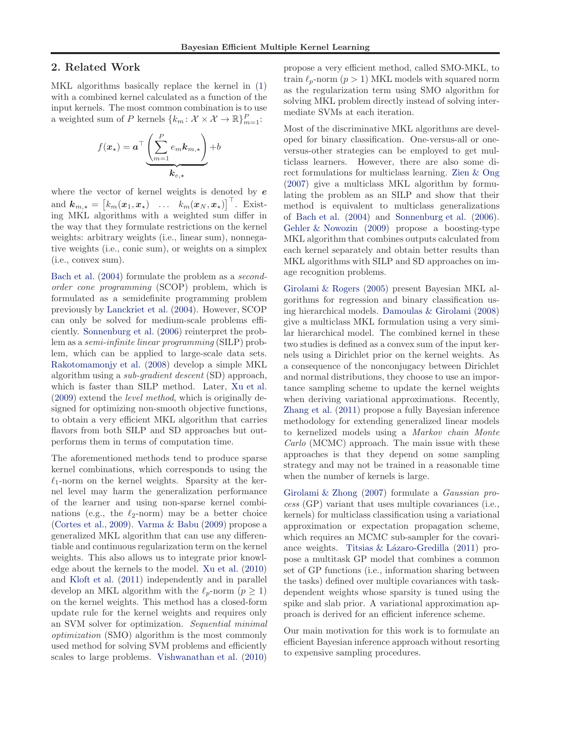# <span id="page-1-0"></span>2. Related Work

MKL algorithms basically replace the kernel in [\(1\)](#page-0-0) with a combined kernel calculated as a function of the input kernels. The most common combination is to use a weighted sum of P kernels  $\{k_m : \mathcal{X} \times \mathcal{X} \to \mathbb{R}\}_{m=1}^P$ :

$$
f(\boldsymbol{x}_{\star}) = \boldsymbol{a}^{\top} \underbrace{\left(\sum_{m=1}^{P} e_{m} \boldsymbol{k}_{m,\star}\right)}_{\boldsymbol{k}_{e,\star}} + b
$$

where the vector of kernel weights is denoted by  $e$ and  $\boldsymbol{k}_{m,\star} = \begin{bmatrix} k_m(\boldsymbol{x}_1, \boldsymbol{x}_\star) & \dots & k_m(\boldsymbol{x}_N, \boldsymbol{x}_\star) \end{bmatrix}^\top$ . Existing MKL algorithms with a weighted sum differ in the way that they formulate restrictions on the kernel weights: arbitrary weights (i.e., linear sum), nonnegative weights (i.e., conic sum), or weights on a simplex (i.e., convex sum).

[Bach et al.](#page-7-0) [\(2004\)](#page-7-0) formulate the problem as a secondorder cone programming (SCOP) problem, which is formulated as a semidefinite programming problem previously by [Lanckriet et al.](#page-7-0) [\(2004\)](#page-7-0). However, SCOP can only be solved for medium-scale problems efficiently. [Sonnenburg et al.](#page-7-0) [\(2006\)](#page-7-0) reinterpret the problem as a semi-infinite linear programming (SILP) problem, which can be applied to large-scale data sets. [Rakotomamonjy et al.](#page-7-0) [\(2008\)](#page-7-0) develop a simple MKL algorithm using a sub-gradient descent (SD) approach, which is faster than SILP method. Later, [Xu et al.](#page-7-0) [\(2009](#page-7-0)) extend the level method, which is originally designed for optimizing non-smooth objective functions, to obtain a very efficient MKL algorithm that carries flavors from both SILP and SD approaches but outperforms them in terms of computation time.

The aforementioned methods tend to produce sparse kernel combinations, which corresponds to using the  $\ell_1$ -norm on the kernel weights. Sparsity at the kernel level may harm the generalization performance of the learner and using non-sparse kernel combinations (e.g., the  $\ell_2$ -norm) may be a better choice [\(Cortes et al.](#page-7-0), [2009\)](#page-7-0). [Varma & Babu](#page-7-0) [\(2009\)](#page-7-0) propose a generalized MKL algorithm that can use any differentiable and continuous regularization term on the kernel weights. This also allows us to integrate prior knowledge about the kernels to the model. [Xu et al.](#page-7-0) [\(2010\)](#page-7-0) and [Kloft et al.](#page-7-0) [\(2011\)](#page-7-0) independently and in parallel develop an MKL algorithm with the  $\ell_p$ -norm  $(p \geq 1)$ on the kernel weights. This method has a closed-form update rule for the kernel weights and requires only an SVM solver for optimization. Sequential minimal optimization (SMO) algorithm is the most commonly used method for solving SVM problems and efficiently scales to large problems. [Vishwanathan et al.](#page-7-0) [\(2010\)](#page-7-0)

propose a very efficient method, called SMO-MKL, to train  $\ell_p$ -norm  $(p > 1)$  MKL models with squared norm as the regularization term using SMO algorithm for solving MKL problem directly instead of solving intermediate SVMs at each iteration.

Most of the discriminative MKL algorithms are developed for binary classification. One-versus-all or oneversus-other strategies can be employed to get multiclass learners. However, there are also some direct formulations for multiclass learning. [Zien & Ong](#page-7-0) [\(2007](#page-7-0)) give a multiclass MKL algorithm by formulating the problem as an SILP and show that their method is equivalent to multiclass generalizations of [Bach et al.](#page-7-0) [\(2004\)](#page-7-0) and [Sonnenburg et al.](#page-7-0) [\(2006\)](#page-7-0). [Gehler & Nowozin](#page-7-0) [\(2009\)](#page-7-0) propose a boosting-type MKL algorithm that combines outputs calculated from each kernel separately and obtain better results than MKL algorithms with SILP and SD approaches on image recognition problems.

[Girolami & Rogers](#page-7-0) [\(2005\)](#page-7-0) present Bayesian MKL algorithms for regression and binary classification using hierarchical models. [Damoulas & Girolami](#page-7-0) [\(2008\)](#page-7-0) give a multiclass MKL formulation using a very similar hierarchical model. The combined kernel in these two studies is defined as a convex sum of the input kernels using a Dirichlet prior on the kernel weights. As a consequence of the nonconjugacy between Dirichlet and normal distributions, they choose to use an importance sampling scheme to update the kernel weights when deriving variational approximations. Recently, [Zhang et al.](#page-7-0) [\(2011](#page-7-0)) propose a fully Bayesian inference methodology for extending generalized linear models to kernelized models using a Markov chain Monte Carlo (MCMC) approach. The main issue with these approaches is that they depend on some sampling strategy and may not be trained in a reasonable time when the number of kernels is large.

[Girolami & Zhong](#page-7-0) [\(2007\)](#page-7-0) formulate a Gaussian process (GP) variant that uses multiple covariances (i.e., kernels) for multiclass classification using a variational approximation or expectation propagation scheme, which requires an MCMC sub-sampler for the covariance weights. Titsias  $&$  Lázaro-Gredilla [\(2011](#page-7-0)) propose a multitask GP model that combines a common set of GP functions (i.e., information sharing between the tasks) defined over multiple covariances with taskdependent weights whose sparsity is tuned using the spike and slab prior. A variational approximation approach is derived for an efficient inference scheme.

Our main motivation for this work is to formulate an efficient Bayesian inference approach without resorting to expensive sampling procedures.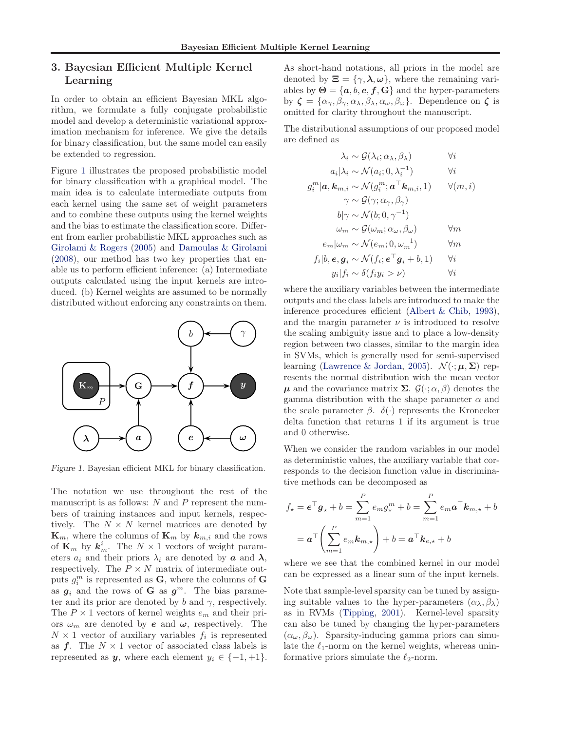# <span id="page-2-0"></span>3. Bayesian Efficient Multiple Kernel Learning

In order to obtain an efficient Bayesian MKL algorithm, we formulate a fully conjugate probabilistic model and develop a deterministic variational approximation mechanism for inference. We give the details for binary classification, but the same model can easily be extended to regression.

Figure 1 illustrates the proposed probabilistic model for binary classification with a graphical model. The main idea is to calculate intermediate outputs from each kernel using the same set of weight parameters and to combine these outputs using the kernel weights and the bias to estimate the classification score. Different from earlier probabilistic MKL approaches such as [Girolami & Rogers](#page-7-0) [\(2005\)](#page-7-0) and [Damoulas & Girolami](#page-7-0) [\(2008](#page-7-0)), our method has two key properties that enable us to perform efficient inference: (a) Intermediate outputs calculated using the input kernels are introduced. (b) Kernel weights are assumed to be normally distributed without enforcing any constraints on them.



Figure 1. Bayesian efficient MKL for binary classification.

The notation we use throughout the rest of the manuscript is as follows:  $N$  and  $P$  represent the numbers of training instances and input kernels, respectively. The  $N \times N$  kernel matrices are denoted by  $\mathbf{K}_m$ , where the columns of  $\mathbf{K}_m$  by  $\mathbf{k}_{m,i}$  and the rows of  $\mathbf{K}_m$  by  $\mathbf{k}_m^i$ . The  $N \times 1$  vectors of weight parameters  $a_i$  and their priors  $\lambda_i$  are denoted by **a** and  $\lambda$ , respectively. The  $P \times N$  matrix of intermediate outputs  $g_i^m$  is represented as **G**, where the columns of **G** as  $g_i$  and the rows of **G** as  $g^m$ . The bias parameter and its prior are denoted by b and  $\gamma$ , respectively. The  $P \times 1$  vectors of kernel weights  $e_m$  and their priors  $\omega_m$  are denoted by **e** and  $\omega$ , respectively. The  $N \times 1$  vector of auxiliary variables  $f_i$  is represented as  $f$ . The  $N \times 1$  vector of associated class labels is represented as y, where each element  $y_i \in \{-1, +1\}.$ 

As short-hand notations, all priors in the model are denoted by  $\Xi = \{\gamma, \lambda, \omega\}$ , where the remaining variables by  $\Theta = \{a, b, e, f, G\}$  and the hyper-parameters by  $\zeta = {\alpha_{\gamma}, \beta_{\gamma}, \alpha_{\lambda}, \beta_{\lambda}, \alpha_{\omega}, \beta_{\omega}}$ . Dependence on  $\zeta$  is omitted for clarity throughout the manuscript.

The distributional assumptions of our proposed model are defined as

$$
\lambda_i \sim \mathcal{G}(\lambda_i; \alpha_{\lambda}, \beta_{\lambda}) \qquad \forall i
$$
  
\n
$$
a_i | \lambda_i \sim \mathcal{N}(a_i; 0, \lambda_i^{-1}) \qquad \forall i
$$
  
\n
$$
g_i^m | \mathbf{a}, \mathbf{k}_{m,i} \sim \mathcal{N}(g_i^m; \mathbf{a}^\top \mathbf{k}_{m,i}, 1) \qquad \forall (m, i)
$$
  
\n
$$
\gamma \sim \mathcal{G}(\gamma; \alpha_{\gamma}, \beta_{\gamma})
$$
  
\n
$$
b | \gamma \sim \mathcal{N}(b; 0, \gamma^{-1})
$$
  
\n
$$
\omega_m \sim \mathcal{G}(\omega_m; \alpha_{\omega}, \beta_{\omega}) \qquad \forall m
$$
  
\n
$$
e_m | \omega_m \sim \mathcal{N}(e_m; 0, \omega_m^{-1}) \qquad \forall m
$$
  
\n
$$
f_i | b, \mathbf{e}, \mathbf{g}_i \sim \mathcal{N}(f_i; \mathbf{e}^\top \mathbf{g}_i + b, 1) \qquad \forall i
$$
  
\n
$$
y_i | f_i \sim \delta(f_i y_i > \nu) \qquad \forall i
$$

where the auxiliary variables between the intermediate outputs and the class labels are introduced to make the inference procedures efficient [\(Albert & Chib](#page-7-0), [1993\)](#page-7-0), and the margin parameter  $\nu$  is introduced to resolve the scaling ambiguity issue and to place a low-density region between two classes, similar to the margin idea in SVMs, which is generally used for semi-supervised learning [\(Lawrence & Jordan,](#page-7-0) [2005\)](#page-7-0).  $\mathcal{N}(\cdot; \boldsymbol{\mu}, \boldsymbol{\Sigma})$  represents the normal distribution with the mean vector  $\mu$  and the covariance matrix  $\Sigma$ .  $\mathcal{G}(\cdot; \alpha, \beta)$  denotes the gamma distribution with the shape parameter  $\alpha$  and the scale parameter  $β$ .  $δ(·)$  represents the Kronecker delta function that returns 1 if its argument is true and 0 otherwise.

When we consider the random variables in our model as deterministic values, the auxiliary variable that corresponds to the decision function value in discriminative methods can be decomposed as

$$
f_{\star} = \mathbf{e}^{\top} \mathbf{g}_{\star} + b = \sum_{m=1}^{P} e_m g_{\star}^m + b = \sum_{m=1}^{P} e_m \mathbf{a}^{\top} \mathbf{k}_{m,\star} + b
$$

$$
= \mathbf{a}^{\top} \left( \sum_{m=1}^{P} e_m \mathbf{k}_{m,\star} \right) + b = \mathbf{a}^{\top} \mathbf{k}_{e,\star} + b
$$

where we see that the combined kernel in our model can be expressed as a linear sum of the input kernels.

Note that sample-level sparsity can be tuned by assigning suitable values to the hyper-parameters  $(\alpha_{\lambda}, \beta_{\lambda})$ as in RVMs [\(Tipping,](#page-7-0) [2001\)](#page-7-0). Kernel-level sparsity can also be tuned by changing the hyper-parameters  $(\alpha_{\omega}, \beta_{\omega})$ . Sparsity-inducing gamma priors can simulate the  $\ell_1$ -norm on the kernel weights, whereas uninformative priors simulate the  $\ell_2$ -norm.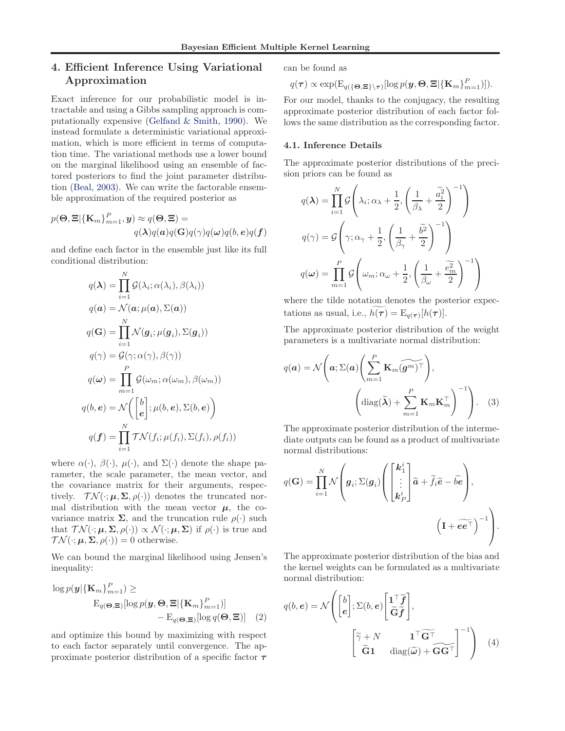# <span id="page-3-0"></span>4. Efficient Inference Using Variational Approximation

Exact inference for our probabilistic model is intractable and using a Gibbs sampling approach is computationally expensive [\(Gelfand & Smith](#page-7-0), [1990\)](#page-7-0). We instead formulate a deterministic variational approximation, which is more efficient in terms of computation time. The variational methods use a lower bound on the marginal likelihood using an ensemble of factored posteriors to find the joint parameter distribution [\(Beal,](#page-7-0) [2003\)](#page-7-0). We can write the factorable ensemble approximation of the required posterior as

$$
p(\mathbf{\Theta}, \mathbf{\Xi} | {\{\mathbf{K}_{m}\}}_{m=1}^{P}, \mathbf{y}) \approx q(\mathbf{\Theta}, \mathbf{\Xi}) = \qquad \qquad \qquad \qquad q(\mathbf{\lambda}) q(\mathbf{a}) q(\mathbf{G}) q(\gamma) q(\boldsymbol{\omega}) q(\boldsymbol{b}, \boldsymbol{e}) q(\boldsymbol{f})
$$

and define each factor in the ensemble just like its full conditional distribution:

$$
q(\lambda) = \prod_{i=1}^{N} \mathcal{G}(\lambda_i; \alpha(\lambda_i), \beta(\lambda_i))
$$
  
\n
$$
q(\mathbf{a}) = \mathcal{N}(\mathbf{a}; \mu(\mathbf{a}), \Sigma(\mathbf{a}))
$$
  
\n
$$
q(\mathbf{G}) = \prod_{i=1}^{N} \mathcal{N}(\mathbf{g}_i; \mu(\mathbf{g}_i), \Sigma(\mathbf{g}_i))
$$
  
\n
$$
q(\gamma) = \mathcal{G}(\gamma; \alpha(\gamma), \beta(\gamma))
$$
  
\n
$$
q(\omega) = \prod_{m=1}^{P} \mathcal{G}(\omega_m; \alpha(\omega_m), \beta(\omega_m))
$$
  
\n
$$
q(b, \mathbf{e}) = \mathcal{N}\left(\begin{bmatrix} b \\ e \end{bmatrix}; \mu(b, \mathbf{e}), \Sigma(b, \mathbf{e})\right)
$$
  
\n
$$
q(\mathbf{f}) = \prod_{i=1}^{N} \mathcal{TN}(f_i; \mu(f_i), \Sigma(f_i), \rho(f_i))
$$

where  $\alpha(\cdot)$ ,  $\beta(\cdot)$ ,  $\mu(\cdot)$ , and  $\Sigma(\cdot)$  denote the shape parameter, the scale parameter, the mean vector, and the covariance matrix for their arguments, respectively.  $\mathcal{TN}(\cdot;\mu,\Sigma,\rho(\cdot))$  denotes the truncated normal distribution with the mean vector  $\mu$ , the covariance matrix  $\Sigma$ , and the truncation rule  $\rho(\cdot)$  such that  $\mathcal{TN}(\cdot;\mu,\Sigma,\rho(\cdot)) \propto \mathcal{N}(\cdot;\mu,\Sigma)$  if  $\rho(\cdot)$  is true and  $\mathcal{TN}(\cdot;\mu,\Sigma,\rho(\cdot))=0$  otherwise.

We can bound the marginal likelihood using Jensen's inequality:

$$
\log p(\mathbf{y}|\{\mathbf{K}_m\}_{m=1}^P) \ge
$$
  
\n
$$
\mathrm{E}_{q(\mathbf{\Theta}, \mathbf{\Xi})}[\log p(\mathbf{y}, \mathbf{\Theta}, \mathbf{\Xi}|\{\mathbf{K}_m\}_{m=1}^P)] - \mathrm{E}_{q(\mathbf{\Theta}, \mathbf{\Xi})}[\log q(\mathbf{\Theta}, \mathbf{\Xi})]
$$
 (2)

and optimize this bound by maximizing with respect to each factor separately until convergence. The approximate posterior distribution of a specific factor  $\tau$  can be found as

$$
q(\boldsymbol{\tau}) \propto \exp(\mathrm{E}_{q(\{\boldsymbol{\Theta}, \boldsymbol{\Xi}\}\setminus \boldsymbol{\tau})}[\log p(\boldsymbol{y}, \boldsymbol{\Theta}, \boldsymbol{\Xi}|\{\mathbf{K}_m\}_{m=1}^P)]).
$$

For our model, thanks to the conjugacy, the resulting approximate posterior distribution of each factor follows the same distribution as the corresponding factor.

#### 4.1. Inference Details

The approximate posterior distributions of the precision priors can be found as

$$
q(\lambda) = \prod_{i=1}^{N} \mathcal{G}\left(\lambda_i; \alpha_{\lambda} + \frac{1}{2}, \left(\frac{1}{\beta_{\lambda}} + \frac{\tilde{a}_i^2}{2}\right)^{-1}\right)
$$

$$
q(\gamma) = \mathcal{G}\left(\gamma; \alpha_{\gamma} + \frac{1}{2}, \left(\frac{1}{\beta_{\gamma}} + \frac{\tilde{b}^2}{2}\right)^{-1}\right)
$$

$$
q(\omega) = \prod_{m=1}^{P} \mathcal{G}\left(\omega_m; \alpha_{\omega} + \frac{1}{2}, \left(\frac{1}{\beta_{\omega}} + \frac{\tilde{e}_m^2}{2}\right)^{-1}\right)
$$

where the tilde notation denotes the posterior expectations as usual, i.e.,  $h(\tau) = \mathbb{E}_{q(\tau)}[h(\tau)].$ 

The approximate posterior distribution of the weight parameters is a multivariate normal distribution:

$$
q(\boldsymbol{a}) = \mathcal{N}\left(\boldsymbol{a}; \Sigma(\boldsymbol{a}) \left(\sum_{m=1}^{P} \mathbf{K}_{m}(\widetilde{\boldsymbol{g}^{m}})^{\top}\right), \left(\text{diag}(\widetilde{\boldsymbol{\lambda}}) + \sum_{m=1}^{P} \mathbf{K}_{m} \mathbf{K}_{m}^{\top}\right)^{-1}\right).
$$
 (3)

The approximate posterior distribution of the intermediate outputs can be found as a product of multivariate normal distributions:

$$
q(\mathbf{G}) = \prod_{i=1}^{N} \mathcal{N}\left(g_i; \Sigma(g_i) \left(\begin{bmatrix} \mathbf{k}_1^i \\ \vdots \\ \mathbf{k}_P^i \end{bmatrix} \widetilde{a} + \widetilde{f}_i \widetilde{e} - \widetilde{be} \right), \left( \mathbf{I} + \widetilde{ee^{\top}} \right)^{-1} \right).
$$

The approximate posterior distribution of the bias and the kernel weights can be formulated as a multivariate normal distribution:

$$
q(b, e) = \mathcal{N}\left(\begin{bmatrix} b \\ e \end{bmatrix}; \Sigma(b, e) \begin{bmatrix} \mathbf{1}^{\top} \tilde{\mathbf{f}} \\ \tilde{\mathbf{G}} \tilde{\mathbf{f}} \end{bmatrix}, \begin{bmatrix} \tilde{\mathbf{f}} + N & \mathbf{1}^{\top} \tilde{\mathbf{G}}^{\top} \\ \tilde{\mathbf{G}} \mathbf{1} & \text{diag}(\tilde{\boldsymbol{\omega}}) + \tilde{\mathbf{G}} \tilde{\mathbf{G}}^{\top} \end{bmatrix}^{-1}\right) (4)
$$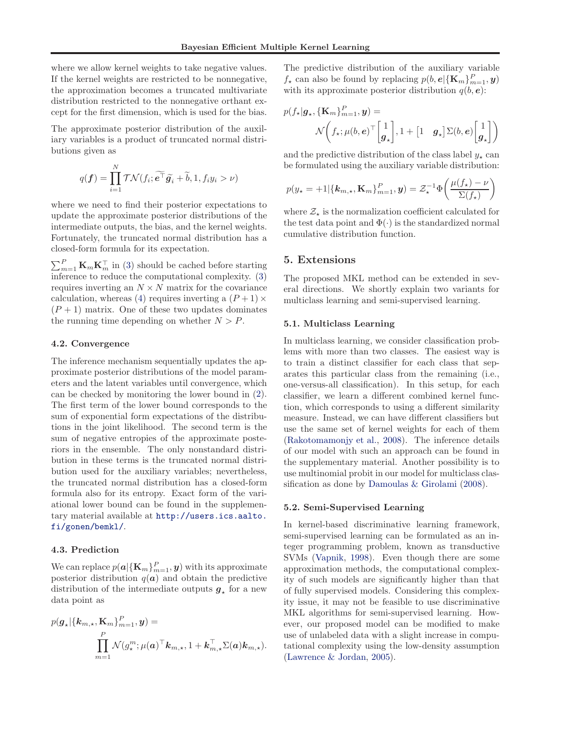<span id="page-4-0"></span>where we allow kernel weights to take negative values. If the kernel weights are restricted to be nonnegative, the approximation becomes a truncated multivariate distribution restricted to the nonnegative orthant except for the first dimension, which is used for the bias.

The approximate posterior distribution of the auxiliary variables is a product of truncated normal distributions given as

$$
q(\boldsymbol{f}) = \prod_{i=1}^{N} \mathcal{TN}(f_i; \widetilde{\boldsymbol{e}^{\top}} \widetilde{\boldsymbol{g}_i} + \widetilde{b}, 1, f_i y_i > \nu)
$$

where we need to find their posterior expectations to update the approximate posterior distributions of the intermediate outputs, the bias, and the kernel weights. Fortunately, the truncated normal distribution has a closed-form formula for its expectation.

 $\sum_{m=1}^{P} \mathbf{K}_{m} \mathbf{K}_{m}^{\top}$  in [\(3\)](#page-3-0) should be cached before starting inference to reduce the computational complexity. [\(3\)](#page-3-0) requires inverting an  $N \times N$  matrix for the covariance calculation, whereas [\(4\)](#page-3-0) requires inverting a  $(P+1) \times$  $(P + 1)$  matrix. One of these two updates dominates the running time depending on whether  $N > P$ .

### 4.2. Convergence

The inference mechanism sequentially updates the approximate posterior distributions of the model parameters and the latent variables until convergence, which can be checked by monitoring the lower bound in [\(2\)](#page-3-0). The first term of the lower bound corresponds to the sum of exponential form expectations of the distributions in the joint likelihood. The second term is the sum of negative entropies of the approximate posteriors in the ensemble. The only nonstandard distribution in these terms is the truncated normal distribution used for the auxiliary variables; nevertheless, the truncated normal distribution has a closed-form formula also for its entropy. Exact form of the variational lower bound can be found in the supplementary material available at [http://users.ics.aalto.](http://users.ics.aalto.fi/gonen/bemkl/) [fi/gonen/bemkl/](http://users.ics.aalto.fi/gonen/bemkl/).

#### 4.3. Prediction

We can replace  $p(\boldsymbol{a}|\{\mathbf{K}_m\}_{m=1}^P,\boldsymbol{y})$  with its approximate posterior distribution  $q(a)$  and obtain the predictive distribution of the intermediate outputs  $g<sub>\star</sub>$  for a new data point as

$$
p(\boldsymbol{g}_{\star}|\{\boldsymbol{k}_{m,\star}, \mathbf{K}_{m}\}_{m=1}^{P}, \boldsymbol{y}) =
$$
  

$$
\prod_{m=1}^{P} \mathcal{N}(g_{\star}^{m}; \mu(\boldsymbol{a})^{\top} \boldsymbol{k}_{m,\star}, 1 + \boldsymbol{k}_{m,\star}^{\top} \Sigma(\boldsymbol{a}) \boldsymbol{k}_{m,\star}).
$$

The predictive distribution of the auxiliary variable  $f_{\star}$  can also be found by replacing  $p(b, e | {\bf{K}}_m)_{m=1}^P, y)$ with its approximate posterior distribution  $q(b, e)$ :

$$
p(f_{\star}|\mathbf{g}_{\star}, \{\mathbf{K}_m\}_{m=1}^P, \mathbf{y}) = \mathcal{N}\left(f_{\star}; \mu(b, \mathbf{e})^{\top} \begin{bmatrix} 1 \\ \mathbf{g}_{\star} \end{bmatrix}, 1 + \begin{bmatrix} 1 & \mathbf{g}_{\star} \end{bmatrix} \Sigma(b, \mathbf{e}) \begin{bmatrix} 1 \\ \mathbf{g}_{\star} \end{bmatrix}\right)
$$

and the predictive distribution of the class label  $y_{\star}$  can be formulated using the auxiliary variable distribution:

$$
p(y_{\star} = +1 | \{\mathbf{k}_{m,\star}, \mathbf{K}_m\}_{m=1}^P, \mathbf{y}) = \mathcal{Z}_{\star}^{-1} \Phi\left(\frac{\mu(f_{\star}) - \nu}{\Sigma(f_{\star})}\right)
$$

where  $\mathcal{Z}_{\star}$  is the normalization coefficient calculated for the test data point and  $\Phi(\cdot)$  is the standardized normal cumulative distribution function.

#### 5. Extensions

The proposed MKL method can be extended in several directions. We shortly explain two variants for multiclass learning and semi-supervised learning.

#### 5.1. Multiclass Learning

In multiclass learning, we consider classification problems with more than two classes. The easiest way is to train a distinct classifier for each class that separates this particular class from the remaining (i.e., one-versus-all classification). In this setup, for each classifier, we learn a different combined kernel function, which corresponds to using a different similarity measure. Instead, we can have different classifiers but use the same set of kernel weights for each of them [\(Rakotomamonjy et al.](#page-7-0), [2008](#page-7-0)). The inference details of our model with such an approach can be found in the supplementary material. Another possibility is to use multinomial probit in our model for multiclass classification as done by [Damoulas & Girolami](#page-7-0) [\(2008](#page-7-0)).

#### 5.2. Semi-Supervised Learning

In kernel-based discriminative learning framework, semi-supervised learning can be formulated as an integer programming problem, known as transductive SVMs [\(Vapnik,](#page-7-0) [1998\)](#page-7-0). Even though there are some approximation methods, the computational complexity of such models are significantly higher than that of fully supervised models. Considering this complexity issue, it may not be feasible to use discriminative MKL algorithms for semi-supervised learning. However, our proposed model can be modified to make use of unlabeled data with a slight increase in computational complexity using the low-density assumption [\(Lawrence & Jordan,](#page-7-0) [2005\)](#page-7-0).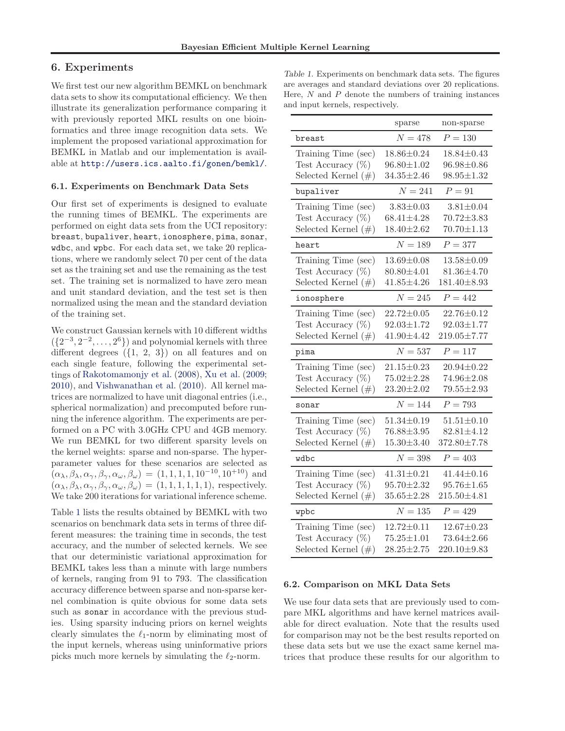# <span id="page-5-0"></span>6. Experiments

We first test our new algorithm BEMKL on benchmark data sets to show its computational efficiency. We then illustrate its generalization performance comparing it with previously reported MKL results on one bioinformatics and three image recognition data sets. We implement the proposed variational approximation for BEMKL in Matlab and our implementation is available at <http://users.ics.aalto.fi/gonen/bemkl/>.

#### 6.1. Experiments on Benchmark Data Sets

Our first set of experiments is designed to evaluate the running times of BEMKL. The experiments are performed on eight data sets from the UCI repository: breast, bupaliver, heart, ionosphere, pima, sonar, wdbc, and wpbc. For each data set, we take 20 replications, where we randomly select 70 per cent of the data set as the training set and use the remaining as the test set. The training set is normalized to have zero mean and unit standard deviation, and the test set is then normalized using the mean and the standard deviation of the training set.

We construct Gaussian kernels with 10 different widths  $({2^{-3}, 2^{-2}, \ldots, 2^{6}})$  and polynomial kernels with three different degrees  $({1, 2, 3})$  on all features and on each single feature, following the experimental settings of [Rakotomamonjy et al.](#page-7-0) [\(2008\)](#page-7-0), [Xu et al.](#page-7-0) [\(2009;](#page-7-0) [2010\)](#page-7-0), and [Vishwanathan et al.](#page-7-0) [\(2010\)](#page-7-0). All kernel matrices are normalized to have unit diagonal entries (i.e., spherical normalization) and precomputed before running the inference algorithm. The experiments are performed on a PC with 3.0GHz CPU and 4GB memory. We run BEMKL for two different sparsity levels on the kernel weights: sparse and non-sparse. The hyperparameter values for these scenarios are selected as  $(\alpha_{\lambda}, \beta_{\lambda}, \alpha_{\gamma}, \beta_{\gamma}, \alpha_{\omega}, \beta_{\omega}) = (1, 1, 1, 1, 10^{-10}, 10^{+10})$  and  $(\alpha_{\lambda}, \beta_{\lambda}, \alpha_{\gamma}, \beta_{\gamma}, \alpha_{\omega}, \beta_{\omega}) = (1, 1, 1, 1, 1, 1)$ , respectively. We take 200 iterations for variational inference scheme.

Table 1 lists the results obtained by BEMKL with two scenarios on benchmark data sets in terms of three different measures: the training time in seconds, the test accuracy, and the number of selected kernels. We see that our deterministic variational approximation for BEMKL takes less than a minute with large numbers of kernels, ranging from 91 to 793. The classification accuracy difference between sparse and non-sparse kernel combination is quite obvious for some data sets such as sonar in accordance with the previous studies. Using sparsity inducing priors on kernel weights clearly simulates the  $\ell_1$ -norm by eliminating most of the input kernels, whereas using uninformative priors picks much more kernels by simulating the  $\ell_2$ -norm.

Table 1. Experiments on benchmark data sets. The figures are averages and standard deviations over 20 replications. Here,  $N$  and  $P$  denote the numbers of training instances and input kernels, respectively.

|                                                                       | sparse                                                   | non-sparse                                                |
|-----------------------------------------------------------------------|----------------------------------------------------------|-----------------------------------------------------------|
| breast                                                                | $N = 478$                                                | $P = 130$                                                 |
| Training Time (sec)<br>Test Accuracy $(\%)$<br>Selected Kernel $(\#)$ | $18.86 \pm 0.24$<br>$96.80 \pm 1.02$<br>$34.35 \pm 2.46$ | $18.84 \pm 0.43$<br>$96.98 \pm 0.86$<br>$98.95 \pm 1.32$  |
| bupaliver                                                             | $N = 241$                                                | $P=91$                                                    |
| Training Time (sec)<br>Test Accuracy $(\%)$<br>Selected Kernel $(\#)$ | $3.83 \pm 0.03$<br>$68.41 \pm 4.28$<br>$18.40 \pm 2.62$  | $3.81 \pm 0.04$<br>$70.72 \pm 3.83$<br>$70.70 \pm 1.13$   |
| heart                                                                 | $N=189$                                                  | $P = 377$                                                 |
| Training Time (sec)<br>Test Accuracy $(\%)$<br>Selected Kernel $(\#)$ | $13.69 \pm 0.08$<br>$80.80 \pm 4.01$<br>$41.85 \pm 4.26$ | $13.58 \pm 0.09$<br>$81.36 \pm 4.70$<br>181.40±8.93       |
| ionosphere                                                            | $N = 245$                                                | $P = 442$                                                 |
| Training Time (sec)<br>Test Accuracy $(\%)$<br>Selected Kernel $(\#)$ | $22.72 \pm 0.05$<br>$92.03 \pm 1.72$<br>$41.90 \pm 4.42$ | $22.76 \pm 0.12$<br>$92.03 \pm 1.77$<br>$219.05 \pm 7.77$ |
| pima                                                                  | $N = 537$                                                | $P = 117$                                                 |
| Training Time (sec)<br>Test Accuracy $(\%)$<br>Selected Kernel $(\#)$ | $21.15 \pm 0.23$<br>$75.02 \pm 2.28$<br>$23.20 \pm 2.02$ | $20.94 \pm 0.22$<br>$74.96 \pm 2.08$<br>$79.55 \pm 2.93$  |
| sonar                                                                 | $N = 144$                                                | $P = 793$                                                 |
| Training Time (sec)<br>Test Accuracy $(\%)$<br>Selected Kernel $(\#)$ | $51.34 \pm 0.19$<br>$76.88 \pm 3.95$<br>$15.30 \pm 3.40$ | $51.51 \pm 0.10$<br>$82.81 \pm 4.12$<br>372.80±7.78       |
| wdbc                                                                  | $N = 398$                                                | $P = 403$                                                 |
| Training Time (sec)<br>Test Accuracy $(\%)$<br>Selected Kernel $(\#)$ | $41.31 \pm 0.21$<br>$95.70 \pm 2.32$<br>$35.65 \pm 2.28$ | $41.44 \pm 0.16$<br>$95.76 \pm 1.65$<br>$215.50 \pm 4.81$ |
| wpbc                                                                  | $N = 135$                                                | $P = 429$                                                 |
| Training Time (sec)<br>Test Accuracy $(\%)$<br>Selected Kernel $(\#)$ | $12.72 \pm 0.11$<br>$75.25 \pm 1.01$<br>$28.25 \pm 2.75$ | $12.67 \pm 0.23$<br>$73.64 \pm 2.66$<br>$220.10 \pm 9.83$ |

#### 6.2. Comparison on MKL Data Sets

We use four data sets that are previously used to compare MKL algorithms and have kernel matrices available for direct evaluation. Note that the results used for comparison may not be the best results reported on these data sets but we use the exact same kernel matrices that produce these results for our algorithm to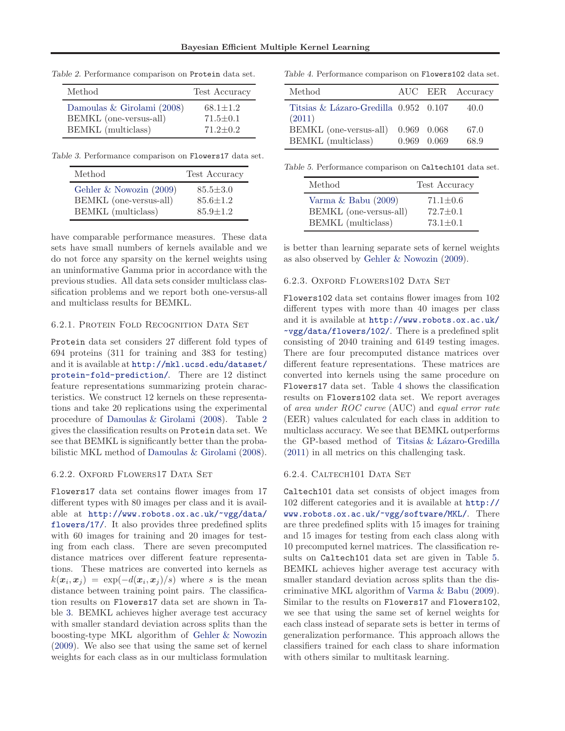Table 2. Performance comparison on Protein data set.

| Method                     | Test Accuracy  |
|----------------------------|----------------|
| Damoulas & Girolami (2008) | $68.1 \pm 1.2$ |
| BEMKL (one-versus-all)     | $71.5 \pm 0.1$ |
| BEMKL (multiclass)         | $71.2 + 0.2$   |

Table 3. Performance comparison on Flowers17 data set.

| Method                  | Test Accuracy  |
|-------------------------|----------------|
| Gehler & Nowozin (2009) | $85.5 \pm 3.0$ |
| BEMKL (one-versus-all)  | $85.6 \pm 1.2$ |
| BEMKL (multiclass)      | $85.9 \pm 1.2$ |

have comparable performance measures. These data sets have small numbers of kernels available and we do not force any sparsity on the kernel weights using an uninformative Gamma prior in accordance with the previous studies. All data sets consider multiclass classification problems and we report both one-versus-all and multiclass results for BEMKL.

## 6.2.1. Protein Fold Recognition Data Set

Protein data set considers 27 different fold types of 694 proteins (311 for training and 383 for testing) and it is available at [http://mkl.ucsd.edu/dataset/](http://mkl.ucsd.edu/dataset/protein-fold-prediction/) [protein-fold-prediction/](http://mkl.ucsd.edu/dataset/protein-fold-prediction/). There are 12 distinct feature representations summarizing protein characteristics. We construct 12 kernels on these representations and take 20 replications using the experimental procedure of [Damoulas & Girolami](#page-7-0) [\(2008](#page-7-0)). Table 2 gives the classification results on Protein data set. We see that BEMKL is significantly better than the probabilistic MKL method of [Damoulas & Girolami](#page-7-0) [\(2008\)](#page-7-0).

#### 6.2.2. OXFORD FLOWERS17 DATA SET

Flowers17 data set contains flower images from 17 different types with 80 images per class and it is available at [http://www.robots.ox.ac.uk/~vgg/data/](http://www.robots.ox.ac.uk/~vgg/data/flowers/17/) [flowers/17/](http://www.robots.ox.ac.uk/~vgg/data/flowers/17/). It also provides three predefined splits with 60 images for training and 20 images for testing from each class. There are seven precomputed distance matrices over different feature representations. These matrices are converted into kernels as  $k(\boldsymbol{x}_i, \boldsymbol{x}_j) = \exp(-d(\boldsymbol{x}_i, \boldsymbol{x}_j)/s)$  where s is the mean distance between training point pairs. The classification results on Flowers17 data set are shown in Table 3. BEMKL achieves higher average test accuracy with smaller standard deviation across splits than the boosting-type MKL algorithm of [Gehler & Nowozin](#page-7-0) [\(2009](#page-7-0)). We also see that using the same set of kernel weights for each class as in our multiclass formulation

Table 4. Performance comparison on Flowers102 data set.

| Method                                |                 | AUC EER Accuracy |
|---------------------------------------|-----------------|------------------|
| Titsias & Lázaro-Gredilla 0.952 0.107 |                 | 40.0             |
| (2011)<br>BEMKL (one-versus-all)      | 0.969 0.068     | 67.0             |
| BEMKL (multiclass)                    | $0.969$ $0.069$ | 68.9             |

Table 5. Performance comparison on Caltech101 data set.

| Method                    | Test Accuracy  |
|---------------------------|----------------|
| Varma $\&$ Babu (2009)    | $71.1 \pm 0.6$ |
| BEMKL (one-versus-all)    | $72.7 \pm 0.1$ |
| <b>BEMKL</b> (multiclass) | $73.1 \pm 0.1$ |

is better than learning separate sets of kernel weights as also observed by [Gehler & Nowozin](#page-7-0) [\(2009\)](#page-7-0).

#### 6.2.3. Oxford Flowers102 Data Set

Flowers102 data set contains flower images from 102 different types with more than 40 images per class and it is available at [http://www.robots.ox.ac.uk/](http://www.robots.ox.ac.uk/~vgg/data/flowers/102/) [~vgg/data/flowers/102/](http://www.robots.ox.ac.uk/~vgg/data/flowers/102/). There is a predefined split consisting of 2040 training and 6149 testing images. There are four precomputed distance matrices over different feature representations. These matrices are converted into kernels using the same procedure on Flowers17 data set. Table 4 shows the classification results on Flowers102 data set. We report averages of area under ROC curve (AUC) and equal error rate (EER) values calculated for each class in addition to multiclass accuracy. We see that BEMKL outperforms the GP-based method of Titsias & Lázaro-Gredilla [\(2011](#page-7-0)) in all metrics on this challenging task.

#### 6.2.4. Caltech101 Data Set

Caltech101 data set consists of object images from 102 different categories and it is available at [http://](http://www.robots.ox.ac.uk/~vgg/software/MKL/) [www.robots.ox.ac.uk/~vgg/software/MKL/](http://www.robots.ox.ac.uk/~vgg/software/MKL/). There are three predefined splits with 15 images for training and 15 images for testing from each class along with 10 precomputed kernel matrices. The classification results on Caltech101 data set are given in Table 5. BEMKL achieves higher average test accuracy with smaller standard deviation across splits than the discriminative MKL algorithm of [Varma & Babu](#page-7-0) [\(2009\)](#page-7-0). Similar to the results on Flowers17 and Flowers102, we see that using the same set of kernel weights for each class instead of separate sets is better in terms of generalization performance. This approach allows the classifiers trained for each class to share information with others similar to multitask learning.